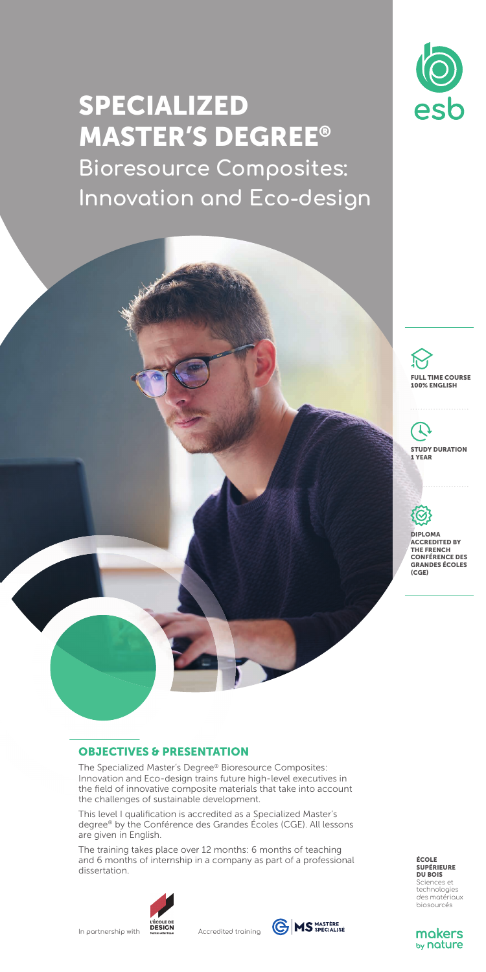

# SPECIALIZED MASTER'S DEGREE® **Bioresource Composites: Innovation and Eco-design**



# ı STUDY DURATION 1 YEAR



DIPLOMA ACCREDITED BY THE FRENCH CONFÉRENCE DES GRANDES ÉCOLES  $(CGE)$ 

# OBJECTIVES & PRESENTATION

The Specialized Master's Degree® Bioresource Composites: Innovation and Eco-design trains future high-level executives in the field of innovative composite materials that take into account the challenges of sustainable development.

This level I qualification is accredited as a Specialized Master's degree® by the Conférence des Grandes Écoles (CGE). All lessons are given in English.

The training takes place over 12 months: 6 months of teaching and 6 months of internship in a company as part of a professional dissertation.



IN PECOLE DE<br>In partnership with **DESICON**<br>Accredited training



**ÉCOLE**<br>SUPÉRIEURE **SUPÉRIEURE<br>DU BOIS**<br>Sciences et<br>technologies<br>des matériaux<br>biosourcés

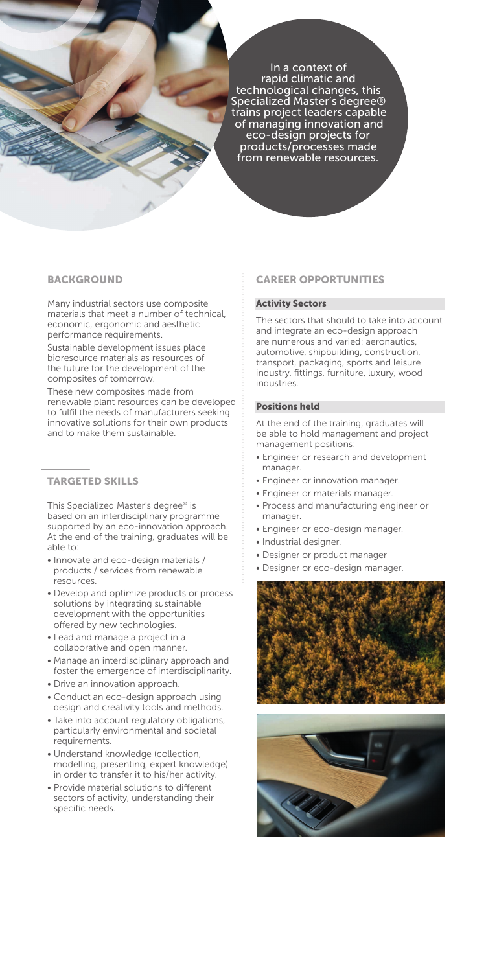In a context of rapid climatic and technological changes, this Specialized Master's degree® trains project leaders capable of managing innovation and eco-design projects for products/processes made from renewable resources.

#### **BACKGROUND**

Many industrial sectors use composite materials that meet a number of technical, economic, ergonomic and aesthetic performance requirements.

Sustainable development issues place bioresource materials as resources of the future for the development of the composites of tomorrow.

These new composites made from renewable plant resources can be developed to fulfil the needs of manufacturers seeking innovative solutions for their own products and to make them sustainable.

# TARGETED SKILLS

This Specialized Master's degree® is based on an interdisciplinary programme supported by an eco-innovation approach. At the end of the training, graduates will be able to:

- Innovate and eco-design materials / products / services from renewable resources.
- Develop and optimize products or process solutions by integrating sustainable development with the opportunities offered by new technologies.
- Lead and manage a project in a collaborative and open manner.
- Manage an interdisciplinary approach and foster the emergence of interdisciplinarity.
- Drive an innovation approach.
- Conduct an eco-design approach using design and creativity tools and methods.
- Take into account regulatory obligations, particularly environmental and societal requirements.
- Understand knowledge (collection, modelling, presenting, expert knowledge) in order to transfer it to his/her activity.
- Provide material solutions to different sectors of activity, understanding their specific needs

## CAREER OPPORTUNITIES

#### Activity Sectors

The sectors that should to take into account and integrate an eco-design approach are numerous and varied: aeronautics, automotive, shipbuilding, construction, transport, packaging, sports and leisure industry, fittings, furniture, luxury, wood industries.

#### Positions held

At the end of the training, graduates will be able to hold management and project management positions:

- Engineer or research and development manager.
- Engineer or innovation manager.
- Engineer or materials manager.
- Process and manufacturing engineer or manager.
- Engineer or eco-design manager.
- Industrial designer.
- Designer or product manager
- Designer or eco-design manager.



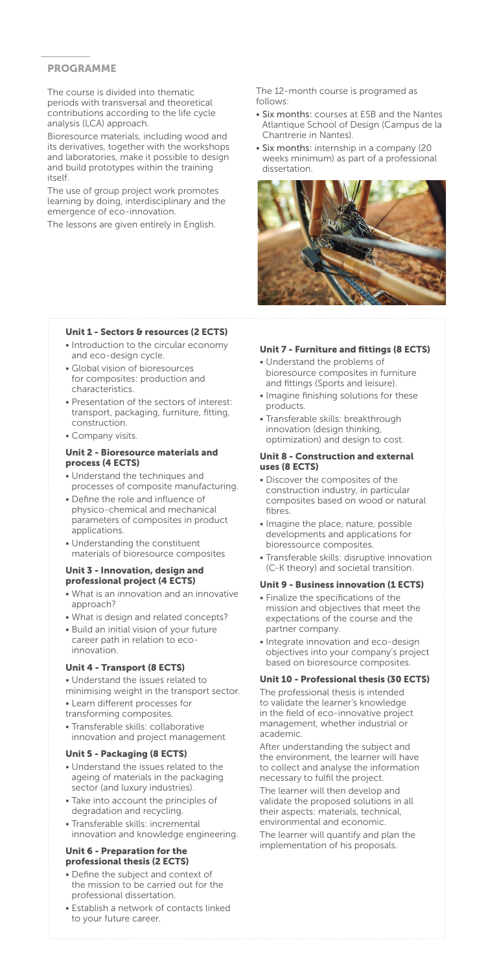## **PROGRAMME**

The course is divided into thematic periods with transversal and theoretical contributions according to the life cycle analysis (LCA) approach.

Bioresource materials, including wood and its derivatives, together with the workshops and laboratories, make it possible to design and build prototypes within the training itself.

The use of group project work promotes learning by doing, interdisciplinary and the emergence of eco-innovation.

The lessons are given entirely in English.

The 12-month course is programed as follows:

- Six months: courses at ESB and the Nantes Atlantique School of Design (Campus de la Chantrerie in Nantes).
- Six months: internship in a company (20 weeks minimum) as part of a professional dissertation.



#### Unit 1 - Sectors & resources (2 ECTS)

- Introduction to the circular economy and eco-design cycle.
- Global vision of bioresources for composites: production and characteristics.
- Presentation of the sectors of interest: transport, packaging, furniture, fitting, construction.
- Company visits.

#### Unit 2 - Bioresource materials and process (4 ECTS)

- Understand the techniques and processes of composite manufacturing.
- Define the role and influence of physico-chemical and mechanical parameters of composites in product applications.
- Understanding the constituent materials of bioresource composites

#### Unit 3 - Innovation, design and professional project (4 ECTS)

- What is an innovation and an innovative approach?
- What is design and related concepts?
- Build an initial vision of your future career path in relation to ecoinnovation.

#### Unit 4 - Transport (8 ECTS)

- Understand the issues related to
- minimising weight in the transport sector.
- Learn different processes for
- transforming composites.
- Transferable skills: collaborative innovation and project management

#### Unit 5 - Packaging (8 ECTS)

- Understand the issues related to the ageing of materials in the packaging sector (and luxury industries).
- Take into account the principles of degradation and recycling.
- Transferable skills: incremental innovation and knowledge engineering.

#### Unit 6 - Preparation for the professional thesis (2 ECTS)

- Define the subject and context of the mission to be carried out for the professional dissertation.
- Establish a network of contacts linked to your future career.

#### Unit 7 - Furniture and fittings (8 ECTS)

- Understand the problems of bioresource composites in furniture and fittings (Sports and leisure).
- Imagine finishing solutions for these products.
- Transferable skills: breakthrough innovation (design thinking, optimization) and design to cost.

#### Unit 8 - Construction and external uses (8 ECTS)

- Discover the composites of the construction industry, in particular composites based on wood or natural fibres.
- Imagine the place, nature, possible developments and applications for bioressource composites.
- Transferable skills: disruptive innovation (C-K theory) and societal transition.

# Unit 9 - Business innovation (1 ECTS)

- Finalize the specifications of the mission and objectives that meet the expectations of the course and the partner company.
- Integrate innovation and eco-design objectives into your company's project based on bioresource composites.

#### Unit 10 - Professional thesis (30 ECTS)

The professional thesis is intended to validate the learner's knowledge in the field of eco-innovative project management, whether industrial or academic.

After understanding the subject and the environment, the learner will have to collect and analyse the information necessary to fulfil the project.

The learner will then develop and validate the proposed solutions in all their aspects: materials, technical, environmental and economic. The learner will quantify and plan the

implementation of his proposals.